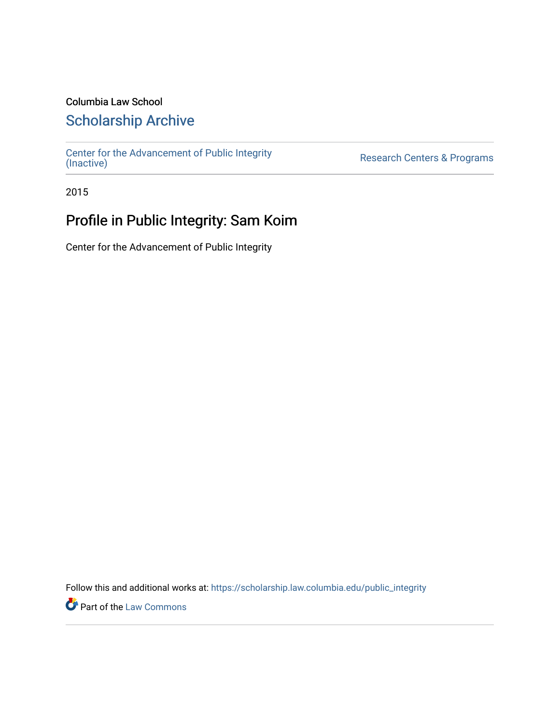### Columbia Law School

### [Scholarship Archive](https://scholarship.law.columbia.edu/)

[Center for the Advancement of Public Integrity](https://scholarship.law.columbia.edu/public_integrity)<br>(Inactive)

Research Centers & Programs

2015

## Profile in Public Integrity: Sam Koim

Center for the Advancement of Public Integrity

Follow this and additional works at: [https://scholarship.law.columbia.edu/public\\_integrity](https://scholarship.law.columbia.edu/public_integrity?utm_source=scholarship.law.columbia.edu%2Fpublic_integrity%2F106&utm_medium=PDF&utm_campaign=PDFCoverPages)

**Part of the [Law Commons](http://network.bepress.com/hgg/discipline/578?utm_source=scholarship.law.columbia.edu%2Fpublic_integrity%2F106&utm_medium=PDF&utm_campaign=PDFCoverPages)**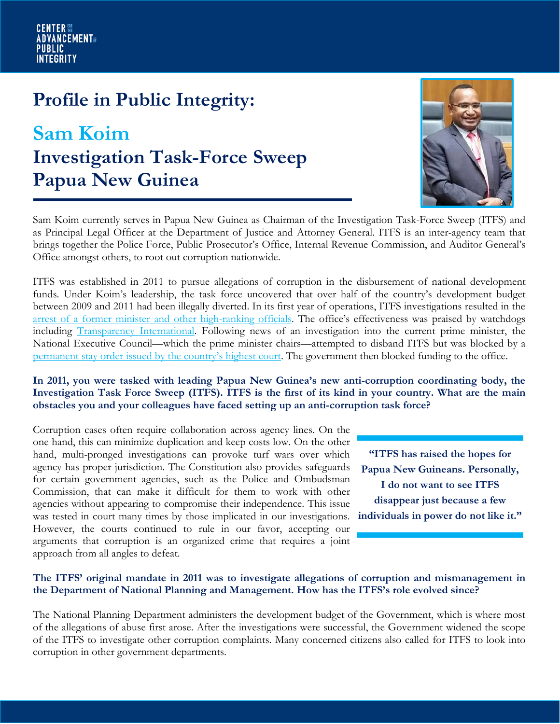## **Profile in Public Integrity:**

# **Sam Koim Investigation Task-Force Sweep Papua New Guinea**



Sam Koim currently serves in Papua New Guinea as Chairman of the Investigation Task-Force Sweep (ITFS) and as Principal Legal Officer at the Department of Justice and Attorney General. ITFS is an inter-agency team that brings together the Police Force, Public Prosecutor's Office, Internal Revenue Commission, and Auditor General's Office amongst others, to root out corruption nationwide.

ITFS was established in 2011 to pursue allegations of corruption in the disbursement of national development funds. Under Koim's leadership, the task force uncovered that over half of the country's development budget between 2009 and 2011 had been illegally diverted. In its first year of operations, ITFS investigations resulted in the [arrest of a former minister and other high-ranking](http://www.abc.net.au/news/2012-05-11/png-corruption-widespread/4004694) officials. The office's effectiveness was praised by watchdogs including [Transparency International.](http://www.ipsnews.net/2015/02/tackling-corruption-at-its-root-in-papua-new-guinea/) Following news of an investigation into the current prime minister, the National Executive Council—which the prime minister chairs—attempted to disband ITFS but was blocked by [a](http://news.pngfacts.com/2014/07/task-force-sweep-permanently-stayed.html) [permanent stay order issued by the country's highest court.](http://news.pngfacts.com/2014/07/task-force-sweep-permanently-stayed.html) The government then blocked funding to the office.

#### **In 2011, you were tasked with leading Papua New Guinea's new anti-corruption coordinating body, the Investigation Task Force Sweep (ITFS). ITFS is the first of its kind in your country. What are the main obstacles you and your colleagues have faced setting up an anti-corruption task force?**

Corruption cases often require collaboration across agency lines. On the one hand, this can minimize duplication and keep costs low. On the other hand, multi-pronged investigations can provoke turf wars over which agency has proper jurisdiction. The Constitution also provides safeguards for certain government agencies, such as the Police and Ombudsman Commission, that can make it difficult for them to work with other agencies without appearing to compromise their independence. This issue was tested in court many times by those implicated in our investigations. However, the courts continued to rule in our favor, accepting our arguments that corruption is an organized crime that requires a joint approach from all angles to defeat.

**"ITFS has raised the hopes for Papua New Guineans. Personally, I do not want to see ITFS disappear just because a few individuals in power do not like it."**

#### **The ITFS' original mandate in 2011 was to investigate allegations of corruption and mismanagement in the Department of National Planning and Management. How has the ITFS's role evolved since?**

The National Planning Department administers the development budget of the Government, which is where most of the allegations of abuse first arose. After the investigations were successful, the Government widened the scope of the ITFS to investigate other corruption complaints. Many concerned citizens also called for ITFS to look into corruption in other government departments.